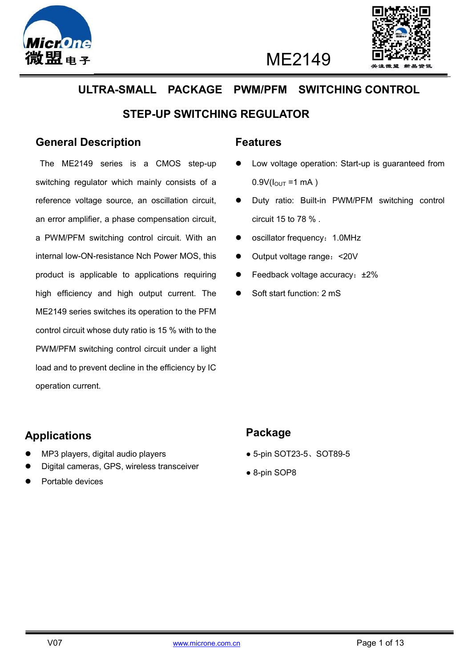



ME2149

# **ULTRA-SMALL PACKAGE PWM/PFM SWITCHING CONTROL**

### **STEP-UP SWITCHING REGULATOR**

### **General Description**

The ME2149 series is a CMOS step-up switching regulator which mainly consists of a reference voltage source, an oscillation circuit, an error amplifier, a phase compensation circuit, a PWM/PFM switching control circuit. With an internal low-ON-resistance Nch Power MOS, this product is applicable to applications requiring high efficiency and high output current. The ME2149 series switches its operation to the PFM control circuit whose duty ratio is 15 % with to the PWM/PFM switching control circuit under a light load and to prevent decline in the efficiency by IC operation current.

#### **Features**

- Low voltage operation: Start-up is guaranteed from  $0.9V(l_{\text{OUT}} = 1 \text{ mA})$
- Duty ratio: Built-in PWM/PFM switching control circuit 15 to 78 % .
- oscillator frequency: 1.0MHz
- Output voltage range: <20V
- Feedback voltage accuracy: ±2%
- Soft start function: 2 mS

### **Applications**

- MP3 players, digital audio players
- Digital cameras, GPS, wireless transceiver
- Portable devices

### **Package**

- 5-pin SOT23-5、SOT89-5
- 8-pin SOP8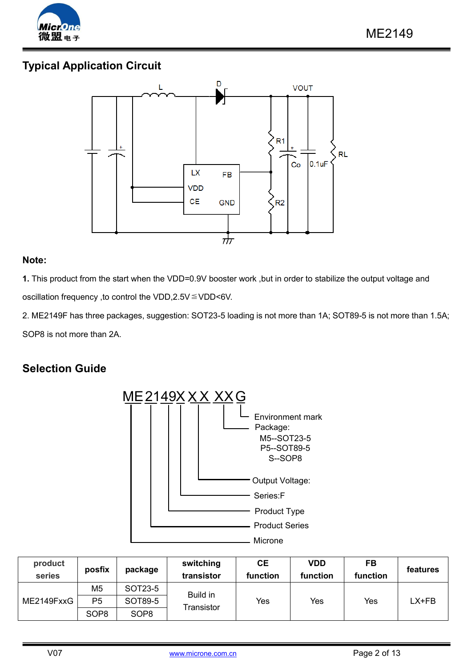

## **Typical Application Circuit**



 $\overline{a}$ 

#### **Note:**

**1.** This product from the start when the VDD=0.9V booster work ,but in order to stabilize the output voltage and oscillation frequency ,to control the VDD,2.5V≦VDD<6V.

2. ME2149F has three packages, suggestion: SOT23-5 loading is not more than 1A; SOT89-5 is not more than 1.5A; SOP8 is not more than 2A.

### **Selection Guide**



| product<br>series | posfix           | package          | switching<br>transistor | <b>CE</b><br>function | VDD<br>function | FB<br>function | features |
|-------------------|------------------|------------------|-------------------------|-----------------------|-----------------|----------------|----------|
| ME2149FxxG        | M5               | SOT23-5          | Build in                | Yes                   | Yes             | Yes            | LX+FB    |
|                   | P <sub>5</sub>   | SOT89-5          |                         |                       |                 |                |          |
|                   | SOP <sub>8</sub> | SOP <sub>8</sub> | Transistor              |                       |                 |                |          |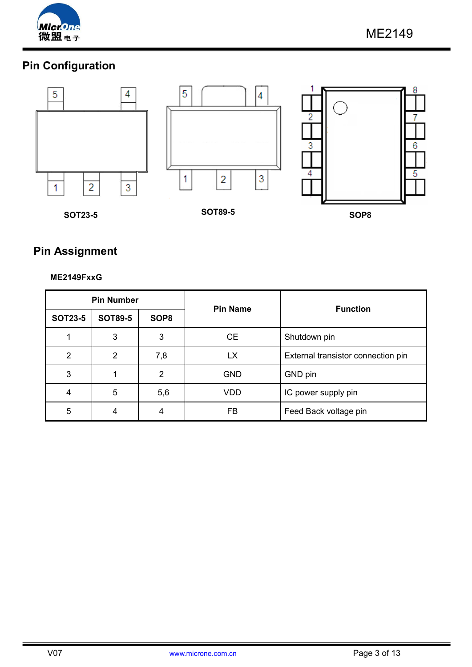

# **Pin Configuration**



 $\overline{a}$ 

## **Pin Assignment**

#### **ME2149FxxG**

| <b>Pin Number</b> |                |                  | <b>Pin Name</b> | <b>Function</b>                    |  |
|-------------------|----------------|------------------|-----------------|------------------------------------|--|
| <b>SOT23-5</b>    | <b>SOT89-5</b> | SOP <sub>8</sub> |                 |                                    |  |
|                   | 3              | 3                | <b>CE</b>       | Shutdown pin                       |  |
| 2                 | 2              | 7,8              | <b>LX</b>       | External transistor connection pin |  |
| 3                 |                | 2                | <b>GND</b>      | GND pin                            |  |
| 4                 | 5              | 5,6              | VDD             | IC power supply pin                |  |
| 5                 | 4              | 4                | FB              | Feed Back voltage pin              |  |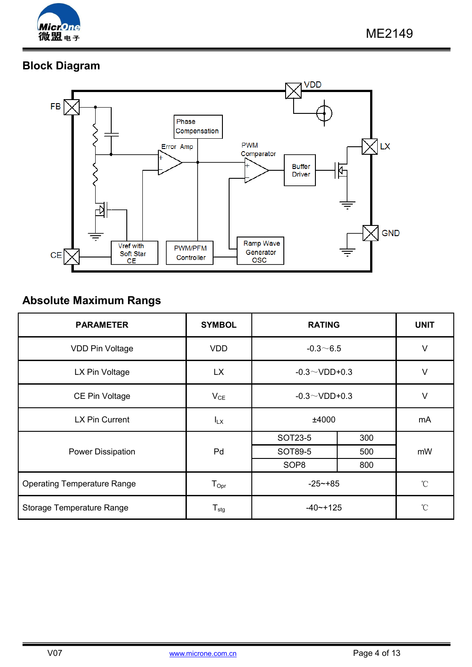

# **Block Diagram**



 $\overline{a}$ 

## **Absolute Maximum Rangs**

| <b>PARAMETER</b>                   | <b>SYMBOL</b>              | <b>RATING</b>       |     | <b>UNIT</b>     |
|------------------------------------|----------------------------|---------------------|-----|-----------------|
| VDD Pin Voltage                    | <b>VDD</b>                 | $-0.3 - 6.5$        |     | $\vee$          |
| LX Pin Voltage                     | <b>LX</b>                  | $-0.3 \sim$ VDD+0.3 |     | $\vee$          |
| CE Pin Voltage                     | $V_{CE}$                   | $-0.3 \sim$ VDD+0.3 |     | $\vee$          |
| LX Pin Current                     | $I_{LX}$                   | ±4000               |     | mA              |
|                                    | Pd                         | SOT23-5             | 300 | mW              |
| Power Dissipation                  |                            | SOT89-5             | 500 |                 |
|                                    |                            | SOP <sub>8</sub>    | 800 |                 |
| <b>Operating Temperature Range</b> | $T_{\text{Opt}}$           | $-25 - +85$         |     | $\rm ^{\circ}C$ |
| Storage Temperature Range          | ${\mathsf T}_{\text{stg}}$ | $-40$ $-+125$       |     | $^{\circ}$ C    |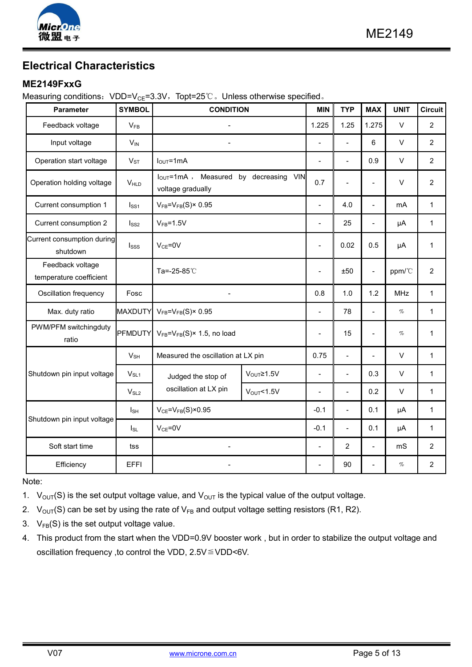

## **Electrical Characteristics**

#### **ME2149FxxG**

Measuring conditions: VDD=V<sub>CE</sub>=3.3V, Topt=25℃ 。Unless otherwise specified 。

| <b>Parameter</b>                            | <b>SYMBOL</b>    | <b>CONDITION</b>                                                   |                    | <b>MIN</b>               | <b>TYP</b>     | <b>MAX</b>               | <b>UNIT</b> | <b>Circuit</b> |
|---------------------------------------------|------------------|--------------------------------------------------------------------|--------------------|--------------------------|----------------|--------------------------|-------------|----------------|
| Feedback voltage                            | $V_{FB}$         |                                                                    |                    | 1.225                    | 1.25           | 1.275                    | $\vee$      | $\overline{2}$ |
| Input voltage                               | $V_{IN}$         | $\overline{a}$                                                     |                    | $\overline{a}$           |                | 6                        | $\vee$      | $\overline{2}$ |
| Operation start voltage                     | $V_{ST}$         | $IOUT=1mA$                                                         |                    | $\overline{\phantom{a}}$ | $\overline{a}$ | 0.9                      | $\vee$      | $\overline{2}$ |
| Operation holding voltage                   | VHLD             | VIN<br>$I_{OUT}$ =1mA, Measured by decreasing<br>voltage gradually |                    |                          | $\overline{a}$ | $\overline{\phantom{0}}$ | $\vee$      | $\overline{2}$ |
| Current consumption 1                       | I <sub>SS1</sub> | $V_{FB} = V_{FB}(S) \times 0.95$                                   |                    | $\overline{\phantom{a}}$ | 4.0            | $\overline{a}$           | mA          | $\mathbf{1}$   |
| Current consumption 2                       | Iss2             | $V_{FB} = 1.5V$                                                    |                    | $\frac{1}{2}$            | 25             | $\overline{a}$           | $\mu A$     | $\mathbf{1}$   |
| Current consumption during<br>shutdown      | Isss             | $V_{CE} = 0V$                                                      |                    | $\frac{1}{2}$            | 0.02           | 0.5                      | μA          | $\mathbf{1}$   |
| Feedback voltage<br>temperature coefficient |                  | Ta=-25-85℃                                                         |                    | $\overline{\phantom{a}}$ | ±50            | $\overline{\phantom{a}}$ | ppm/°C      | $\overline{2}$ |
| Oscillation frequency                       | Fosc             | $\blacksquare$                                                     |                    | 0.8                      | 1.0            | 1.2                      | <b>MHz</b>  | $\mathbf{1}$   |
| Max. duty ratio                             | <b>MAXDUTY</b>   | $V_{FB} = V_{FB}(S) \times 0.95$                                   |                    | $\overline{a}$           | 78             |                          | $\%$        | $\mathbf{1}$   |
| PWM/PFM switchingduty<br>ratio              | PFMDUTY          | $V_{FB} = V_{FB}(S) \times 1.5$ , no load                          |                    | $\overline{\phantom{a}}$ | 15             | $\overline{\phantom{a}}$ | $\%$        | $\mathbf 1$    |
|                                             | $V_{SH}$         | Measured the oscillation at LX pin                                 |                    | 0.75                     | $\frac{1}{2}$  | $\overline{a}$           | $\vee$      | $\mathbf{1}$   |
| Shutdown pin input voltage                  | $V_{SL1}$        | Judged the stop of                                                 | $V_{OUT} \ge 1.5V$ | $\blacksquare$           | $\overline{a}$ | 0.3                      | $\vee$      | $\mathbf{1}$   |
|                                             | $V_{SL2}$        | oscillation at LX pin                                              | $V_{OUT}$ <1.5V    | $\overline{a}$           | $\overline{a}$ | 0.2                      | $\vee$      | $\mathbf{1}$   |
|                                             | $I_{SH}$         | $V_{CE} = V_{FB}(S) \times 0.95$                                   |                    | $-0.1$                   | $\overline{a}$ | 0.1                      | μA          | $\mathbf{1}$   |
| Shutdown pin input voltage                  | $I_{SL}$         | $V_{CE} = 0V$                                                      |                    | $-0.1$                   | $\overline{a}$ | 0.1                      | μA          | 1              |
| Soft start time                             | tss              |                                                                    |                    | $\frac{1}{2}$            | $\overline{2}$ | $\overline{a}$           | mS          | $\overline{2}$ |
| Efficiency                                  | <b>EFFI</b>      |                                                                    |                    | $\overline{\phantom{a}}$ | 90             | $\overline{\phantom{a}}$ | $\%$        | $\overline{2}$ |

 $\overline{a}$ 

Note:

- 1.  $V_{\text{OUT}}(S)$  is the set output voltage value, and  $V_{\text{OUT}}$  is the typical value of the output voltage.
- 2.  $V_{OUT}(S)$  can be set by using the rate of  $V_{FB}$  and output voltage setting resistors (R1, R2).
- 3.  $V_{FB}(S)$  is the set output voltage value.
- 4. This product from the start when the VDD=0.9V booster work , but in order to stabilize the output voltage and oscillation frequency ,to control the VDD, 2.5V≦VDD<6V.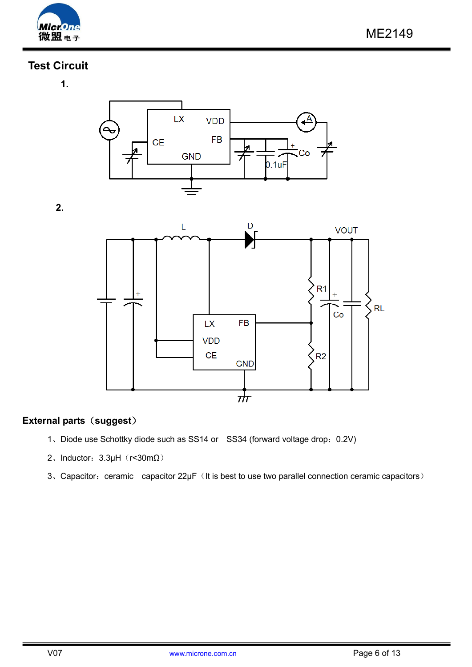

### **Test Circuit**

**2.**

**1.**



 $\overline{a}$ 



#### **External parts**(**suggest**)

- 1、Diode use Schottky diode such as SS14 or SS34 (forward voltage drop:0.2V)
- 2、Inductor:  $3.3\mu$ H (r<30m $\Omega$ )
- 3、Capacitor: ceramic capacitor 22µF (It is best to use two parallel connection ceramic capacitors)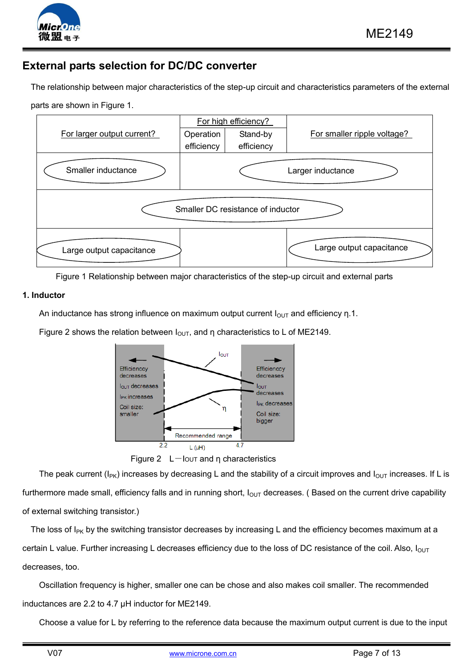

### **External parts selection for DC/DC converter**

The relationship between major characteristics of the step-up circuit and characteristics parameters of the external

 $\overline{a}$ 

parts are shown in Figure 1.



Figure 1 Relationship between major characteristics of the step-up circuit and external parts

#### **1. Inductor**

An inductance has strong influence on maximum output current  $I_{\text{OUT}}$  and efficiency n.1.

Figure 2 shows the relation between  $I_{\text{OUT}}$ , and η characteristics to L of ME2149.



Figure 2  $L$ -Iout and η characteristics

The peak current ( $I_{PK}$ ) increases by decreasing L and the stability of a circuit improves and  $I_{OUT}$  increases. If L is furthermore made small, efficiency falls and in running short,  $I_{\text{OUT}}$  decreases. (Based on the current drive capability of external switching transistor.)

The loss of  $I_{PK}$  by the switching transistor decreases by increasing L and the efficiency becomes maximum at a certain L value. Further increasing L decreases efficiency due to the loss of DC resistance of the coil. Also,  $I_{OUT}$ decreases, too.

Oscillation frequency is higher, smaller one can be chose and also makes coil smaller. The recommended inductances are 2.2 to 4.7 µH inductor for ME2149.

Choose a value for L by referring to the reference data because the maximum output current is due to the input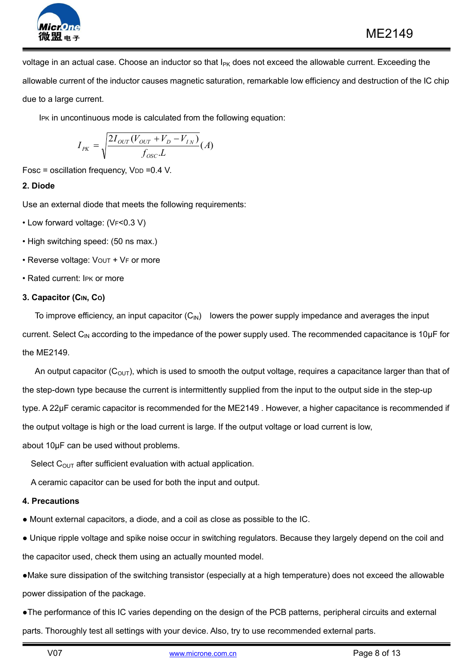

voltage in an actual case. Choose an inductor so that I<sub>PK</sub> does not exceed the allowable current. Exceeding the allowable current of the inductor causes magnetic saturation, remarkable low efficiency and destruction of the IC chip due to a large current.

 $\overline{a}$ 

IPK in uncontinuous mode is calculated from the following equation:

$$
I_{PK} = \sqrt{\frac{2I_{OUT}(V_{OUT} + V_D - V_{IN})}{f_{osc}.L}}(A)
$$

Fosc = oscillation frequency,  $V_{DD} = 0.4$  V.

#### **2. Diode**

Use an external diode that meets the following requirements:

- Low forward voltage: (VF<0.3 V)
- High switching speed: (50 ns max.)
- Reverse voltage: Vout + VF or more
- Rated current: IPK or more

#### **3. Capacitor (CIN, CO)**

To improve efficiency, an input capacitor  $(C_{\text{IN}})$  lowers the power supply impedance and averages the input current. Select C<sub>IN</sub> according to the impedance of the power supply used. The recommended capacitance is 10μF for the ME2149.

An output capacitor ( $C_{\text{OUT}}$ ), which is used to smooth the output voltage, requires a capacitance larger than that of the step-down type because the current is intermittently supplied from the input to the output side in the step-up type. A 22μF ceramic capacitor is recommended for the ME2149 . However, a higher capacitance is recommended if the output voltage is high or the load current is large. If the output voltage or load current is low, about 10μF can be used without problems.

Select  $C_{OUT}$  after sufficient evaluation with actual application.

A ceramic capacitor can be used for both the input and output.

#### **4. Precautions**

● Mount external capacitors, a diode, and a coil as close as possible to the IC.

● Unique ripple voltage and spike noise occur in switching regulators. Because they largely depend on the coil and the capacitor used, check them using an actually mounted model.

●Make sure dissipation of the switching transistor (especially at a high temperature) does not exceed the allowable power dissipation of the package.

●The performance of this IC varies depending on the design of the PCB patterns, peripheral circuits and external parts. Thoroughly test all settings with your device. Also, try to use recommended external parts.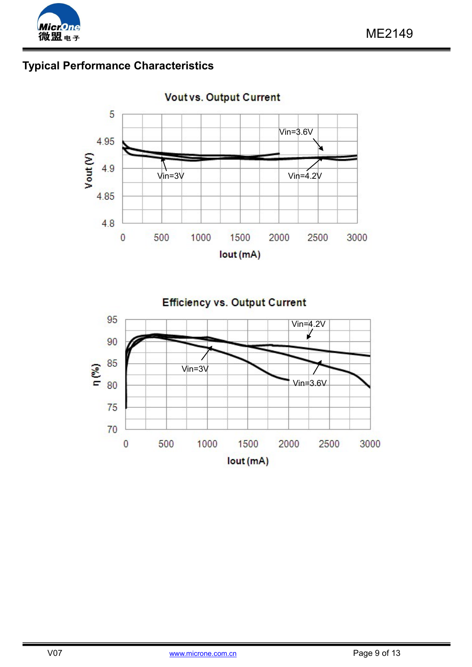

# **Typical Performance Characteristics**

**Vout vs. Output Current** 

 $\overline{a}$ 



**Efficiency vs. Output Current** 

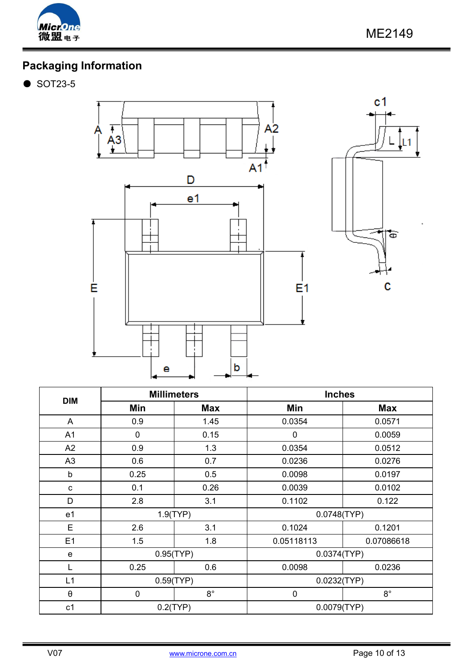

# **Packaging Information**



 $\overline{a}$ 

| <b>DIM</b>            | <b>Millimeters</b> |             | <b>Inches</b> |             |  |
|-----------------------|--------------------|-------------|---------------|-------------|--|
|                       | Min                | <b>Max</b>  | Min           | <b>Max</b>  |  |
| A                     | 0.9                | 1.45        | 0.0354        | 0.0571      |  |
| A <sub>1</sub>        | 0                  | 0.15        | 0             | 0.0059      |  |
| A2                    | 0.9                | 1.3         | 0.0354        | 0.0512      |  |
| A <sub>3</sub>        | 0.6                | 0.7         | 0.0236        | 0.0276      |  |
| b                     | 0.25               | 0.5         | 0.0098        | 0.0197      |  |
| c                     | 0.1                | 0.26        | 0.0039        | 0.0102      |  |
| D                     | 2.8                | 3.1         | 0.1102        | 0.122       |  |
| e <sub>1</sub>        | 1.9(TYP)           |             | 0.0748(TYP)   |             |  |
| E                     | 2.6                | 3.1         | 0.1024        | 0.1201      |  |
| E1                    | 1.5                | 1.8         | 0.05118113    | 0.07086618  |  |
| e                     | 0.95(TYP)          |             | 0.0374(TYP)   |             |  |
|                       | 0.25               | 0.6         | 0.0098        | 0.0236      |  |
| L1                    | 0.59(TYP)          |             | 0.0232(TYP)   |             |  |
| $\boldsymbol{\theta}$ | $\mathbf 0$        | $8^{\circ}$ | $\mathbf 0$   | $8^{\circ}$ |  |
| c <sub>1</sub>        | $0.2$ (TYP)        |             | 0.0079(TYP)   |             |  |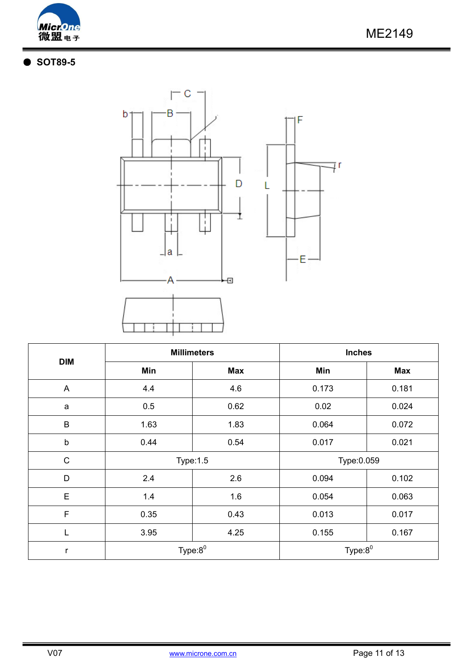

## ● **SOT89-5**



 $\overline{a}$ 

| <b>DIM</b>     |              | <b>Millimeters</b> | <b>Inches</b> |            |  |  |
|----------------|--------------|--------------------|---------------|------------|--|--|
|                | Min          | <b>Max</b>         | Min           | <b>Max</b> |  |  |
| $\overline{A}$ | 4.4          | 4.6                |               | 0.181      |  |  |
| a              | 0.5          | 0.62               | 0.02          | 0.024      |  |  |
| $\sf B$        | 1.63<br>1.83 |                    | 0.064         | 0.072      |  |  |
| $\sf b$        | 0.44         | 0.54               | 0.017         | 0.021      |  |  |
| C              |              | <b>Type:1.5</b>    | Type:0.059    |            |  |  |
| D              | 2.4          | 2.6                | 0.094         | 0.102      |  |  |
| E              | 1.4          | 1.6                | 0.054         | 0.063      |  |  |
| $\mathsf F$    | 0.35         | 0.43               | 0.013         | 0.017      |  |  |
| L              | 3.95         | 4.25               | 0.155         | 0.167      |  |  |
| r              |              | Type: $8^0$        | Type: $8^0$   |            |  |  |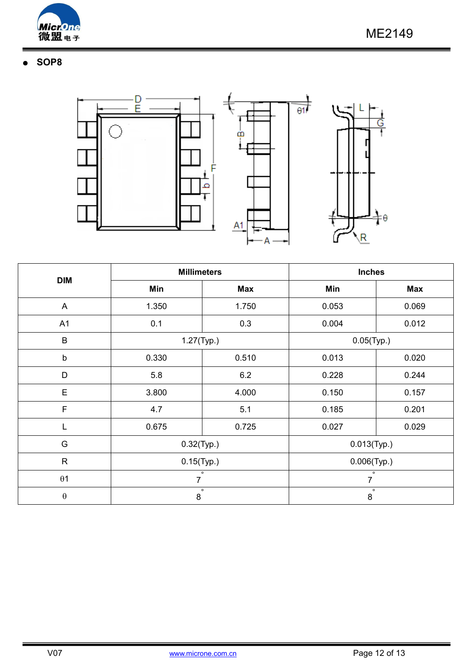

## ● **SOP8**





 $\overline{a}$ 

F



| <b>DIM</b>            | <b>Millimeters</b> |            | <b>Inches</b>      |            |  |  |
|-----------------------|--------------------|------------|--------------------|------------|--|--|
|                       | Min                | <b>Max</b> | Min                | <b>Max</b> |  |  |
| A                     | 1.350<br>1.750     |            | 0.053              | 0.069      |  |  |
| A1                    | 0.1<br>0.3         |            | 0.004              | 0.012      |  |  |
| $\sf B$               | $1.27$ (Typ.)      |            | $0.05$ (Typ.)      |            |  |  |
| b                     | 0.330<br>0.510     |            | 0.013              | 0.020      |  |  |
| $\mathsf{D}$          | 5.8                | 6.2        | 0.228              | 0.244      |  |  |
| E                     | 3.800              | 4.000      | 0.150              | 0.157      |  |  |
| F                     | 4.7                | 5.1        | 0.185              | 0.201      |  |  |
|                       | 0.675              | 0.725      | 0.027              | 0.029      |  |  |
| G                     | $0.32$ (Typ.)      |            | $0.013$ (Typ.)     |            |  |  |
| $\mathsf{R}$          | $0.15$ (Typ.)      |            | $0.006$ (Typ.)     |            |  |  |
| $\theta$ 1            | $\overline{7}$     | $\circ$    | $\circ$<br>7       |            |  |  |
| $\boldsymbol{\theta}$ | 8                  | $\circ$    | $\circ$<br>$\bf 8$ |            |  |  |